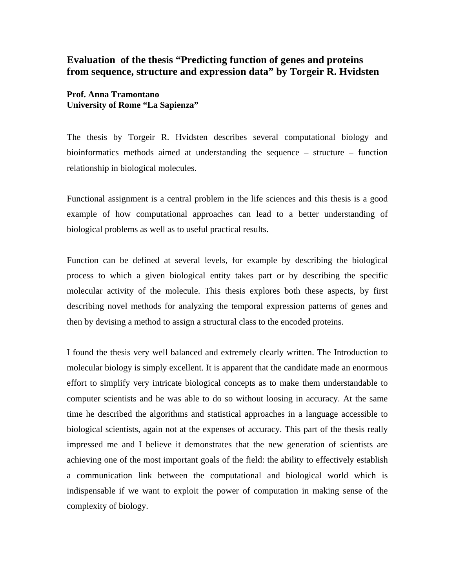## **Evaluation of the thesis "Predicting function of genes and proteins from sequence, structure and expression data" by Torgeir R. Hvidsten**

**Prof. Anna Tramontano University of Rome "La Sapienza"**

The thesis by Torgeir R. Hvidsten describes several computational biology and bioinformatics methods aimed at understanding the sequence – structure – function relationship in biological molecules.

Functional assignment is a central problem in the life sciences and this thesis is a good example of how computational approaches can lead to a better understanding of biological problems as well as to useful practical results.

Function can be defined at several levels, for example by describing the biological process to which a given biological entity takes part or by describing the specific molecular activity of the molecule. This thesis explores both these aspects, by first describing novel methods for analyzing the temporal expression patterns of genes and then by devising a method to assign a structural class to the encoded proteins.

I found the thesis very well balanced and extremely clearly written. The Introduction to molecular biology is simply excellent. It is apparent that the candidate made an enormous effort to simplify very intricate biological concepts as to make them understandable to computer scientists and he was able to do so without loosing in accuracy. At the same time he described the algorithms and statistical approaches in a language accessible to biological scientists, again not at the expenses of accuracy. This part of the thesis really impressed me and I believe it demonstrates that the new generation of scientists are achieving one of the most important goals of the field: the ability to effectively establish a communication link between the computational and biological world which is indispensable if we want to exploit the power of computation in making sense of the complexity of biology.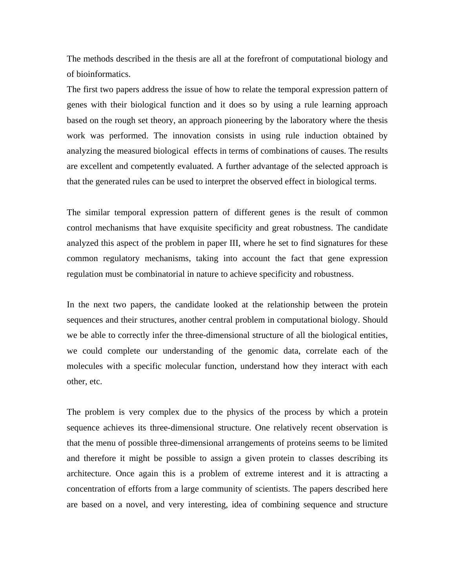The methods described in the thesis are all at the forefront of computational biology and of bioinformatics.

The first two papers address the issue of how to relate the temporal expression pattern of genes with their biological function and it does so by using a rule learning approach based on the rough set theory, an approach pioneering by the laboratory where the thesis work was performed. The innovation consists in using rule induction obtained by analyzing the measured biological effects in terms of combinations of causes. The results are excellent and competently evaluated. A further advantage of the selected approach is that the generated rules can be used to interpret the observed effect in biological terms.

The similar temporal expression pattern of different genes is the result of common control mechanisms that have exquisite specificity and great robustness. The candidate analyzed this aspect of the problem in paper III, where he set to find signatures for these common regulatory mechanisms, taking into account the fact that gene expression regulation must be combinatorial in nature to achieve specificity and robustness.

In the next two papers, the candidate looked at the relationship between the protein sequences and their structures, another central problem in computational biology. Should we be able to correctly infer the three-dimensional structure of all the biological entities, we could complete our understanding of the genomic data, correlate each of the molecules with a specific molecular function, understand how they interact with each other, etc.

The problem is very complex due to the physics of the process by which a protein sequence achieves its three-dimensional structure. One relatively recent observation is that the menu of possible three-dimensional arrangements of proteins seems to be limited and therefore it might be possible to assign a given protein to classes describing its architecture. Once again this is a problem of extreme interest and it is attracting a concentration of efforts from a large community of scientists. The papers described here are based on a novel, and very interesting, idea of combining sequence and structure